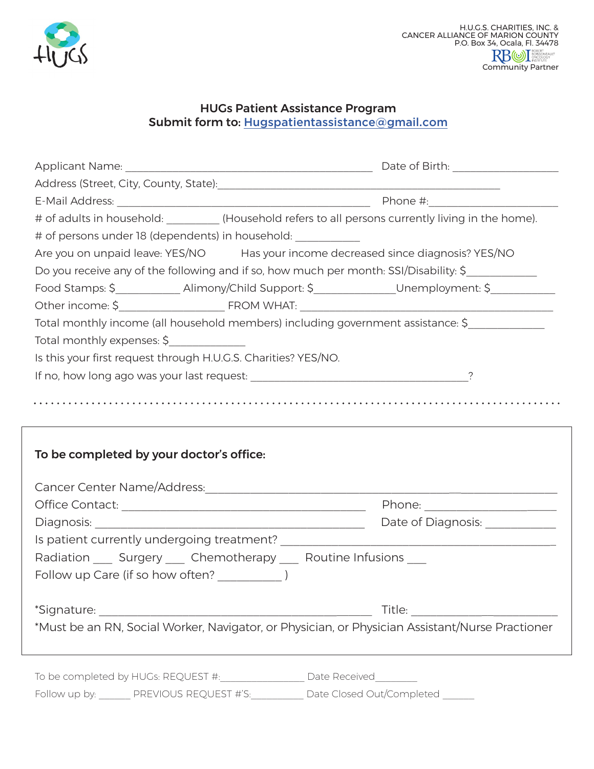

## HUGs Patient Assistance Program Submit form to: Hugspatientassistance@gmail.com

| # of adults in household: _________ (Household refers to all persons currently living in the home).   |                                                                  |  |  |  |
|-------------------------------------------------------------------------------------------------------|------------------------------------------------------------------|--|--|--|
| # of persons under 18 (dependents) in household: __________                                           |                                                                  |  |  |  |
| Are you on unpaid leave: YES/NO Has your income decreased since diagnosis? YES/NO                     |                                                                  |  |  |  |
| Do you receive any of the following and if so, how much per month: SSI/Disability: \$                 |                                                                  |  |  |  |
| Food Stamps: \$_______________Alimony/Child Support: \$_______________Unemployment: \$_______________ |                                                                  |  |  |  |
|                                                                                                       |                                                                  |  |  |  |
| Total monthly income (all household members) including government assistance: \$                      |                                                                  |  |  |  |
| Total monthly expenses: \$                                                                            |                                                                  |  |  |  |
| Is this your first request through H.U.G.S. Charities? YES/NO.                                        |                                                                  |  |  |  |
|                                                                                                       |                                                                  |  |  |  |
|                                                                                                       |                                                                  |  |  |  |
|                                                                                                       |                                                                  |  |  |  |
|                                                                                                       |                                                                  |  |  |  |
| To be completed by your doctor's office:                                                              |                                                                  |  |  |  |
|                                                                                                       |                                                                  |  |  |  |
|                                                                                                       |                                                                  |  |  |  |
|                                                                                                       |                                                                  |  |  |  |
|                                                                                                       |                                                                  |  |  |  |
|                                                                                                       |                                                                  |  |  |  |
| Radiation ____ Surgery ____ Chemotherapy ____ Routine Infusions ___                                   |                                                                  |  |  |  |
|                                                                                                       |                                                                  |  |  |  |
|                                                                                                       |                                                                  |  |  |  |
| *Signature:                                                                                           | <u> 1989 - Jan James James, martin amerikan bahasa (j. 1918)</u> |  |  |  |
| *Must be an RN, Social Worker, Navigator, or Physician, or Physician Assistant/Nurse Practioner       |                                                                  |  |  |  |
|                                                                                                       |                                                                  |  |  |  |
|                                                                                                       |                                                                  |  |  |  |
| To be completed by HUGs: REQUEST #:                                                                   | Date Received                                                    |  |  |  |

Follow up by: \_\_\_\_\_\_ PREVIOUS REQUEST #'S:\_\_\_\_\_\_\_\_\_\_ Date Closed Out/Completed \_\_\_\_\_\_